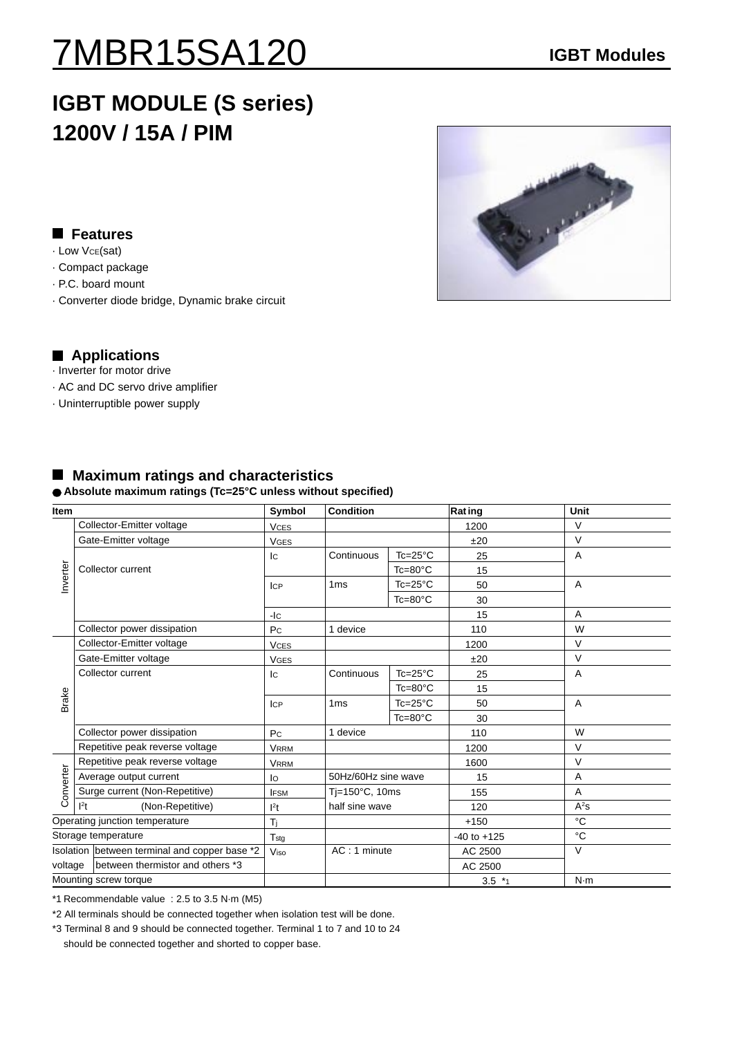# 7MBR15SA120 **IGBT Modules**

# **IGBT MODULE (S series) 1200V / 15A / PIM**

#### **Features**

- · Low VCE(sat)
- · Compact package
- · P.C. board mount
- · Converter diode bridge, Dynamic brake circuit

## **Applications**

- · Inverter for motor drive
- · AC and DC servo drive amplifier
- · Uninterruptible power supply

# **Maximum ratings and characteristics**

#### **Absolute maximum ratings (Tc=25°C unless without specified)**

| <b>Item</b>                                   |                                    | <b>Symbol</b>    | <b>Condition</b>    |                    | Rating          | Unit           |
|-----------------------------------------------|------------------------------------|------------------|---------------------|--------------------|-----------------|----------------|
| Inverter                                      | Collector-Emitter voltage          | <b>VCES</b>      |                     |                    | 1200            | $\vee$         |
|                                               | Gate-Emitter voltage               | <b>VGES</b>      |                     |                    | ±20             | $\vee$         |
|                                               |                                    | Ic               | Continuous          | $Tc = 25^{\circ}C$ | 25              | A              |
|                                               | Collector current                  |                  |                     | $Tc = 80^{\circ}C$ | 15              |                |
|                                               |                                    | <b>ICP</b>       | 1 <sub>ms</sub>     | $Tc = 25^{\circ}C$ | 50              | A              |
|                                               |                                    |                  |                     | $Tc = 80^{\circ}C$ | 30              |                |
|                                               |                                    | $-IC$            |                     |                    | 15              | $\overline{A}$ |
|                                               | Collector power dissipation        | Pc               | 1 device            |                    | 110             | W              |
|                                               | Collector-Emitter voltage          | <b>VCES</b>      |                     |                    | 1200            | $\vee$         |
|                                               | Gate-Emitter voltage               | <b>VGES</b>      |                     |                    | ±20             | $\vee$         |
|                                               | Collector current                  | Ic               | Continuous          | $Tc = 25^{\circ}C$ | 25              | Α              |
|                                               |                                    |                  |                     | $Tc = 80^{\circ}C$ | 15              |                |
| Brake                                         |                                    | <b>ICP</b>       | 1 <sub>ms</sub>     | $Tc=25^{\circ}C$   | 50              | A              |
|                                               |                                    |                  |                     | $Tc = 80^{\circ}C$ | 30              |                |
|                                               | Collector power dissipation        | P <sub>C</sub>   | 1 device            |                    | 110             | W              |
|                                               | Repetitive peak reverse voltage    | <b>VRRM</b>      |                     |                    | 1200            | $\vee$         |
|                                               | Repetitive peak reverse voltage    | <b>VRRM</b>      |                     |                    | 1600            | $\vee$         |
|                                               | Average output current             | lo               | 50Hz/60Hz sine wave |                    | 15              | A              |
| Converter                                     | Surge current (Non-Repetitive)     | <b>IFSM</b>      | Tj=150°C, 10ms      |                    | 155             | A              |
|                                               | 1 <sup>2</sup><br>(Non-Repetitive) | 1 <sup>2</sup> t | half sine wave      |                    | 120             | $A^2S$         |
| Operating junction temperature                |                                    | Ti               |                     |                    | $+150$          | °C             |
| Storage temperature                           |                                    | Tstg             |                     |                    | $-40$ to $+125$ | $^{\circ}C$    |
| Isolation between terminal and copper base *2 |                                    | Viso             | AC: 1 minute        |                    | AC 2500         | $\vee$         |
| between thermistor and others *3<br>voltage   |                                    |                  |                     |                    | AC 2500         |                |
| Mounting screw torque                         |                                    |                  |                     |                    | $3.5*1$         | N·m            |

\*1 Recommendable value : 2.5 to 3.5 N·m (M5)

\*2 All terminals should be connected together when isolation test will be done.

\*3 Terminal 8 and 9 should be connected together. Terminal 1 to 7 and 10 to 24

should be connected together and shorted to copper base.

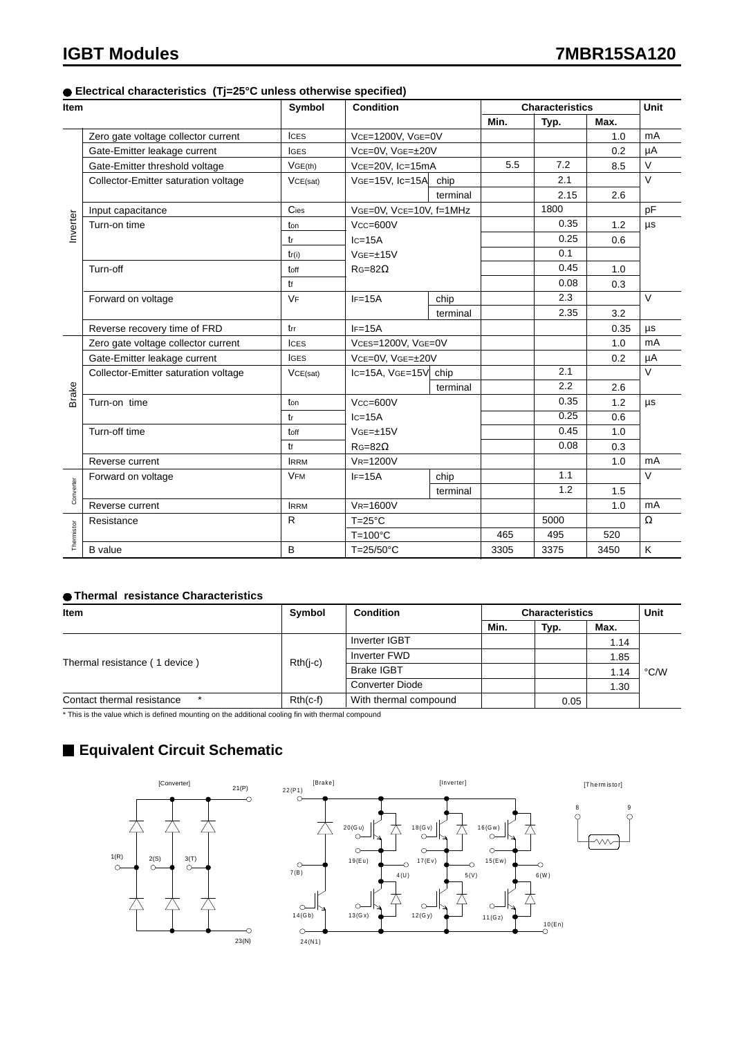#### **Electrical characteristics (Tj=25°C unless otherwise specified)**

| Item         |                                      | Symbol      | <b>Condition</b>                          |          | <b>Characteristics</b> |      |      | <b>Unit</b> |
|--------------|--------------------------------------|-------------|-------------------------------------------|----------|------------------------|------|------|-------------|
|              |                                      |             |                                           |          | Min.                   | Typ. | Max. |             |
| Inverter     | Zero gate voltage collector current  | <b>ICES</b> | VCE=1200V, VGE=0V                         |          |                        |      | 1.0  | mA          |
|              | Gate-Emitter leakage current         | <b>IGES</b> | VCE=0V, VGE=±20V                          |          |                        |      | 0.2  | μA          |
|              | Gate-Emitter threshold voltage       | VGE(th)     | VcE=20V, Ic=15mA                          |          | 5.5                    | 7.2  | 8.5  | V           |
|              | Collector-Emitter saturation voltage | VCE(sat)    | $VGE=15V$ , $Ic=15A$                      | chip     |                        | 2.1  |      | $\vee$      |
|              |                                      |             |                                           | terminal |                        | 2.15 | 2.6  |             |
|              | Input capacitance                    | Cies        | VGE=0V, VCE=10V, f=1MHz                   |          |                        | 1800 |      | pF          |
|              | Turn-on time                         | ton         | $Vcc = 600V$<br>$Ic=15A$<br>$VGE=\pm 15V$ |          |                        | 0.35 | 1.2  | $\mu s$     |
|              |                                      | tr          |                                           |          |                        | 0.25 | 0.6  |             |
|              |                                      | tr(i)       |                                           |          |                        | 0.1  |      |             |
|              | Turn-off                             | toff        | $RG=82\Omega$                             |          |                        | 0.45 | 1.0  |             |
|              |                                      | tf          |                                           |          |                        | 0.08 | 0.3  |             |
|              | Forward on voltage                   | <b>VF</b>   | $IF=15A$                                  | chip     |                        | 2.3  |      | $\vee$      |
|              |                                      |             |                                           | terminal |                        | 2.35 | 3.2  |             |
|              | Reverse recovery time of FRD         | trr         | $IF=15A$                                  |          |                        |      | 0.35 | μs          |
|              | Zero gate voltage collector current  | <b>ICES</b> | VCES=1200V, VGE=0V                        |          |                        | 1.0  | mA   |             |
|              | Gate-Emitter leakage current         | <b>IGES</b> | VCE=0V, VGE=±20V                          |          |                        | 0.2  | μA   |             |
|              | Collector-Emitter saturation voltage | VCE(sat)    | $ c=15A, VGE=15V $ chip                   |          |                        | 2.1  |      | $\vee$      |
| <b>Brake</b> |                                      |             |                                           | terminal |                        | 2.2  | 2.6  |             |
|              | Turn-on time                         | ton         | $Vcc = 600V$<br>$Ic=15A$                  |          |                        | 0.35 | 1.2  | μs          |
|              |                                      | tr          |                                           |          |                        | 0.25 | 0.6  |             |
|              | Turn-off time                        | toff        | $VGE=\pm 15V$                             |          |                        | 0.45 | 1.0  |             |
|              | tf                                   |             | $RG=82\Omega$                             |          |                        | 0.08 | 0.3  |             |
|              | Reverse current                      | <b>IRRM</b> | VR=1200V                                  |          |                        |      | 1.0  | mA          |
| Converter    | Forward on voltage                   | <b>VFM</b>  | $IF=15A$                                  | chip     |                        | 1.1  |      | V           |
|              |                                      |             |                                           | terminal |                        | 1.2  | 1.5  |             |
|              | Reverse current                      | <b>IRRM</b> | VR=1600V                                  |          |                        |      | 1.0  | mA          |
|              | Resistance                           | R           | $T = 25^{\circ}C$<br>$T=100^{\circ}C$     |          |                        | 5000 |      | Ω           |
| Thermistor   |                                      |             |                                           |          | 465                    | 495  | 520  |             |
|              | <b>B</b> value                       | B           | T=25/50°C                                 |          | 3305                   | 3375 | 3450 | Κ           |

#### **Thermal resistance Characteristics**

| Item                          | Symbol     | <b>Condition</b>       | <b>Characteristics</b> |      |      | Unit |  |
|-------------------------------|------------|------------------------|------------------------|------|------|------|--|
|                               |            |                        | Min.                   | Typ. | Max. |      |  |
|                               |            | <b>Inverter IGBT</b>   |                        |      | 1.14 |      |  |
| Thermal resistance (1 device) | $Rth(i-c)$ | Inverter FWD           |                        |      | 1.85 |      |  |
|                               |            | <b>Brake IGBT</b>      |                        |      | 1.14 | °C/W |  |
|                               |            | <b>Converter Diode</b> |                        |      | 1.30 |      |  |
| Contact thermal resistance    | $Rth(c-f)$ | With thermal compound  |                        | 0.05 |      |      |  |

\* This is the value which is defined mounting on the additional cooling fin with thermal compound

# **Equivalent Circuit Schematic**

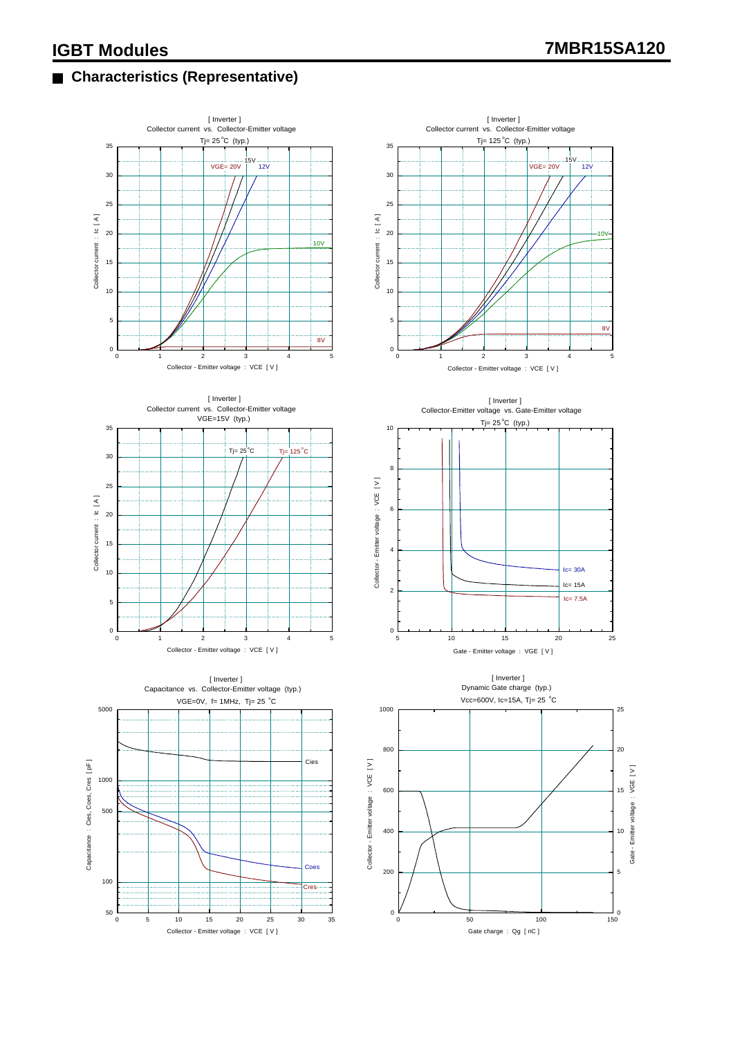## **Characteristics (Representative)**

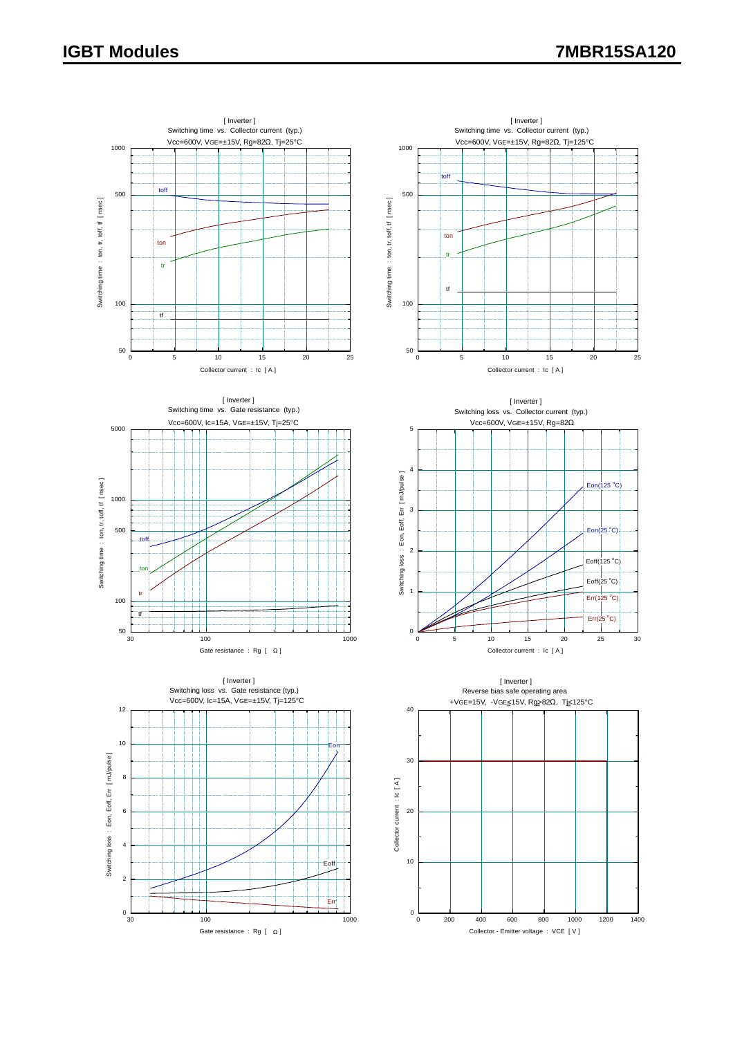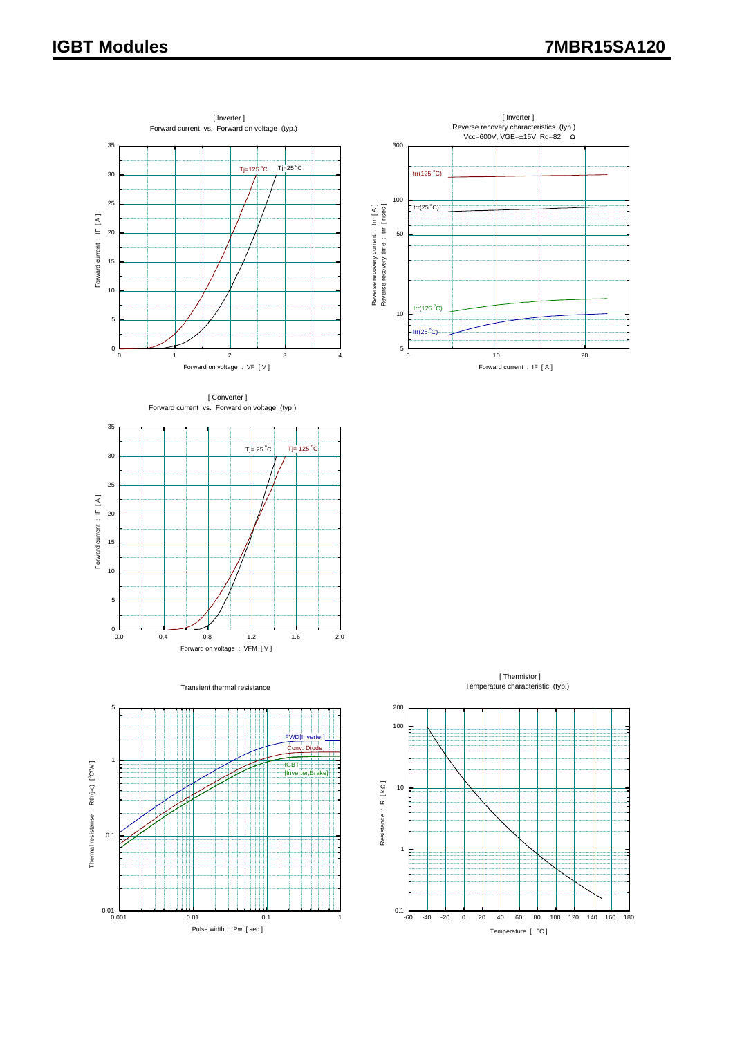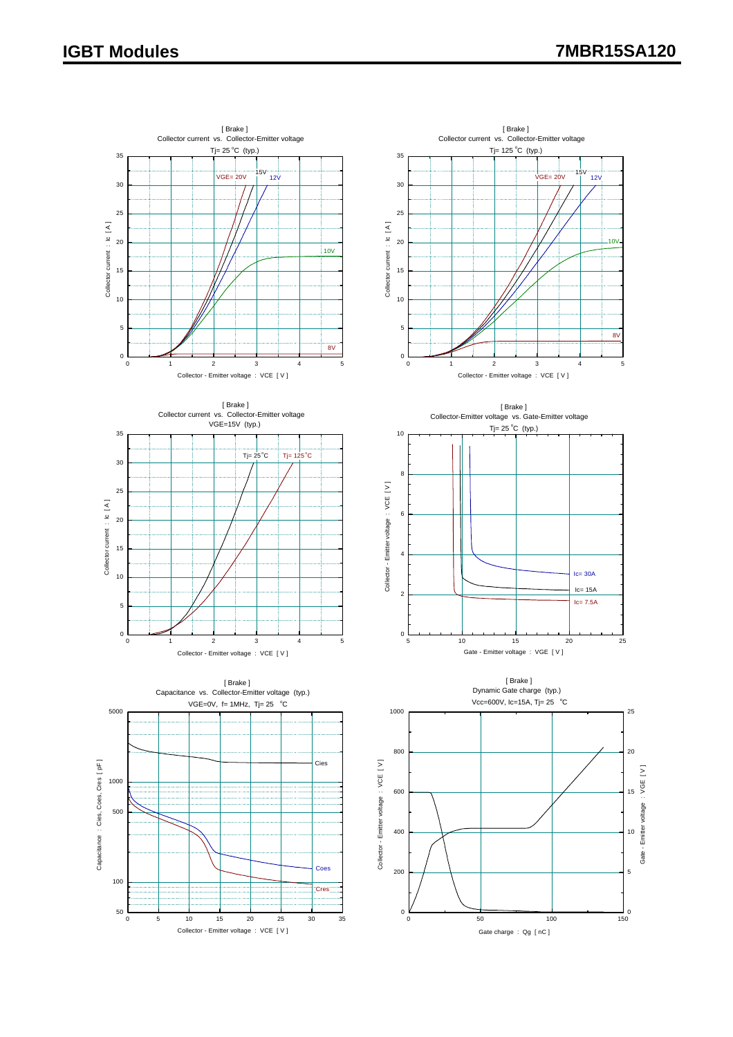